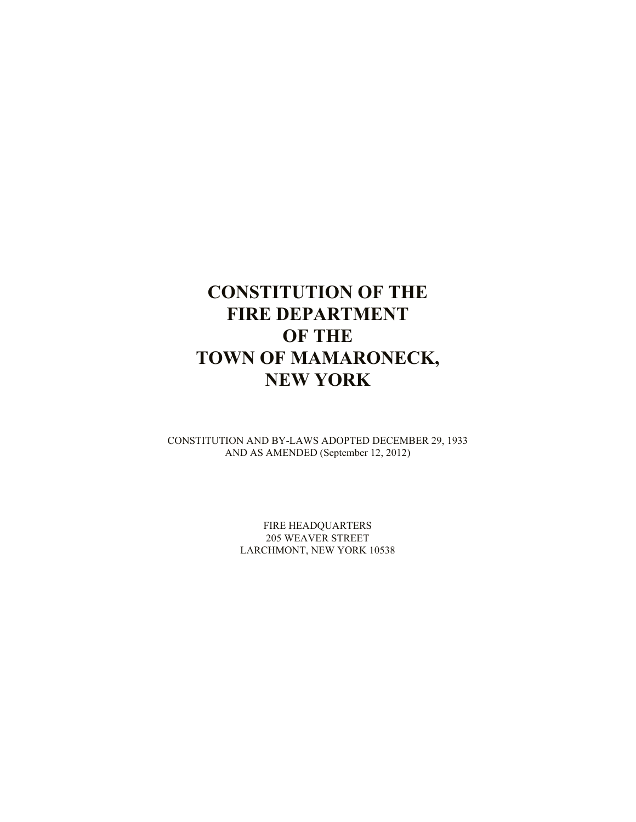# **CONSTITUTION OF THE FIRE DEPARTMENT OF THE TOWN OF MAMARONECK, NEW YORK**

CONSTITUTION AND BY-LAWS ADOPTED DECEMBER 29, 1933 AND AS AMENDED (September 12, 2012)

> FIRE HEADQUARTERS 205 WEAVER STREET LARCHMONT, NEW YORK 10538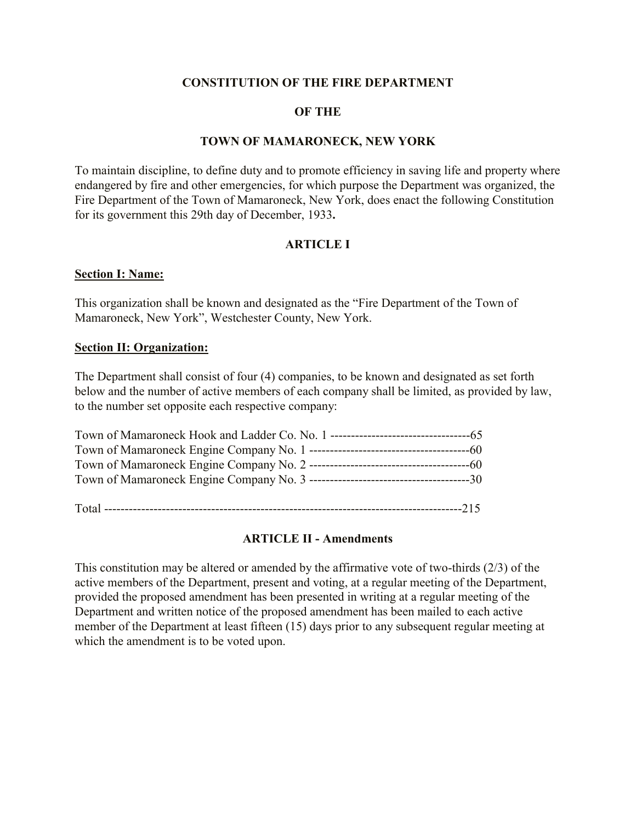## **CONSTITUTION OF THE FIRE DEPARTMENT**

#### **OF THE**

#### **TOWN OF MAMARONECK, NEW YORK**

To maintain discipline, to define duty and to promote efficiency in saving life and property where endangered by fire and other emergencies, for which purpose the Department was organized, the Fire Department of the Town of Mamaroneck, New York, does enact the following Constitution for its government this 29th day of December, 1933**.**

#### **ARTICLE I**

#### **Section I: Name:**

This organization shall be known and designated as the "Fire Department of the Town of Mamaroneck, New York", Westchester County, New York.

#### **Section II: Organization:**

The Department shall consist of four (4) companies, to be known and designated as set forth below and the number of active members of each company shall be limited, as provided by law, to the number set opposite each respective company:

Total ---------------------------------------------------------------------------------------215

#### **ARTICLE II - Amendments**

This constitution may be altered or amended by the affirmative vote of two-thirds (2/3) of the active members of the Department, present and voting, at a regular meeting of the Department, provided the proposed amendment has been presented in writing at a regular meeting of the Department and written notice of the proposed amendment has been mailed to each active member of the Department at least fifteen (15) days prior to any subsequent regular meeting at which the amendment is to be voted upon.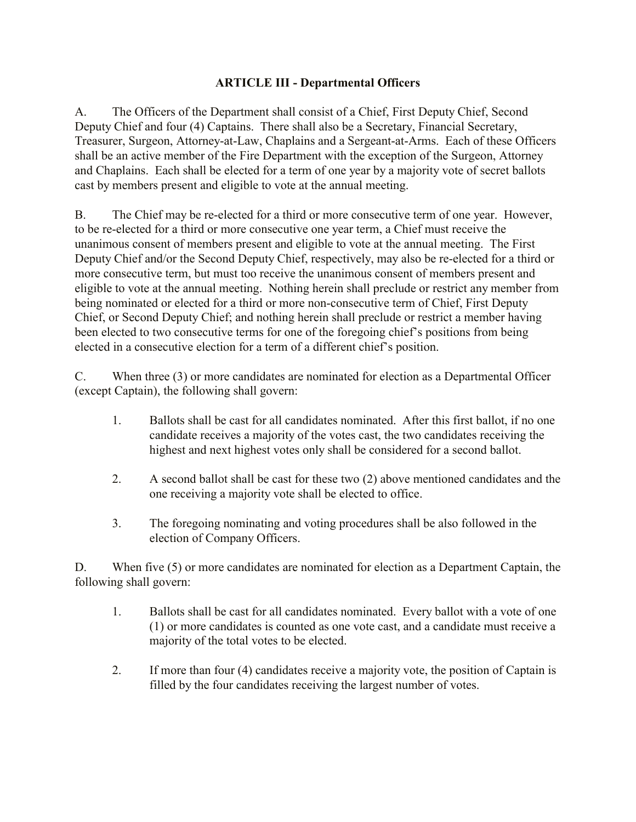## **ARTICLE III - Departmental Officers**

A. The Officers of the Department shall consist of a Chief, First Deputy Chief, Second Deputy Chief and four (4) Captains. There shall also be a Secretary, Financial Secretary, Treasurer, Surgeon, Attorney-at-Law, Chaplains and a Sergeant-at-Arms. Each of these Officers shall be an active member of the Fire Department with the exception of the Surgeon, Attorney and Chaplains. Each shall be elected for a term of one year by a majority vote of secret ballots cast by members present and eligible to vote at the annual meeting.

B. The Chief may be re-elected for a third or more consecutive term of one year. However, to be re-elected for a third or more consecutive one year term, a Chief must receive the unanimous consent of members present and eligible to vote at the annual meeting. The First Deputy Chief and/or the Second Deputy Chief, respectively, may also be re-elected for a third or more consecutive term, but must too receive the unanimous consent of members present and eligible to vote at the annual meeting. Nothing herein shall preclude or restrict any member from being nominated or elected for a third or more non-consecutive term of Chief, First Deputy Chief, or Second Deputy Chief; and nothing herein shall preclude or restrict a member having been elected to two consecutive terms for one of the foregoing chief's positions from being elected in a consecutive election for a term of a different chief's position.

C. When three (3) or more candidates are nominated for election as a Departmental Officer (except Captain), the following shall govern:

- 1. Ballots shall be cast for all candidates nominated. After this first ballot, if no one candidate receives a majority of the votes cast, the two candidates receiving the highest and next highest votes only shall be considered for a second ballot.
- 2. A second ballot shall be cast for these two (2) above mentioned candidates and the one receiving a majority vote shall be elected to office.
- 3. The foregoing nominating and voting procedures shall be also followed in the election of Company Officers.

D. When five (5) or more candidates are nominated for election as a Department Captain, the following shall govern:

- 1. Ballots shall be cast for all candidates nominated. Every ballot with a vote of one (1) or more candidates is counted as one vote cast, and a candidate must receive a majority of the total votes to be elected.
- 2. If more than four (4) candidates receive a majority vote, the position of Captain is filled by the four candidates receiving the largest number of votes.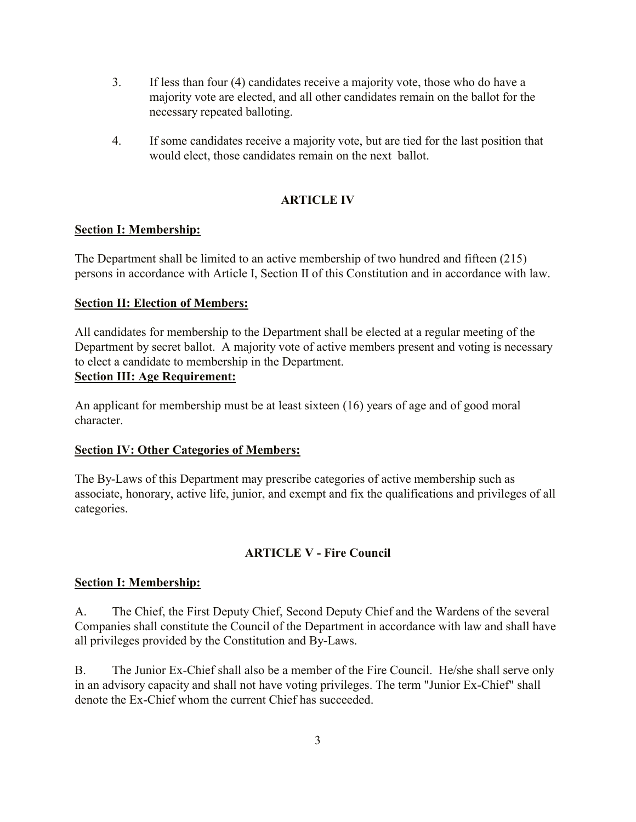- 3. If less than four (4) candidates receive a majority vote, those who do have a majority vote are elected, and all other candidates remain on the ballot for the necessary repeated balloting.
- 4. If some candidates receive a majority vote, but are tied for the last position that would elect, those candidates remain on the next ballot.

## **ARTICLE IV**

#### **Section I: Membership:**

The Department shall be limited to an active membership of two hundred and fifteen (215) persons in accordance with Article I, Section II of this Constitution and in accordance with law.

#### **Section II: Election of Members:**

All candidates for membership to the Department shall be elected at a regular meeting of the Department by secret ballot. A majority vote of active members present and voting is necessary to elect a candidate to membership in the Department. **Section III: Age Requirement:**

An applicant for membership must be at least sixteen (16) years of age and of good moral character.

#### **Section IV: Other Categories of Members:**

The By-Laws of this Department may prescribe categories of active membership such as associate, honorary, active life, junior, and exempt and fix the qualifications and privileges of all categories.

## **ARTICLE V - Fire Council**

## **Section I: Membership:**

A. The Chief, the First Deputy Chief, Second Deputy Chief and the Wardens of the several Companies shall constitute the Council of the Department in accordance with law and shall have all privileges provided by the Constitution and By-Laws.

B. The Junior Ex-Chief shall also be a member of the Fire Council. He/she shall serve only in an advisory capacity and shall not have voting privileges. The term "Junior Ex-Chief" shall denote the Ex-Chief whom the current Chief has succeeded.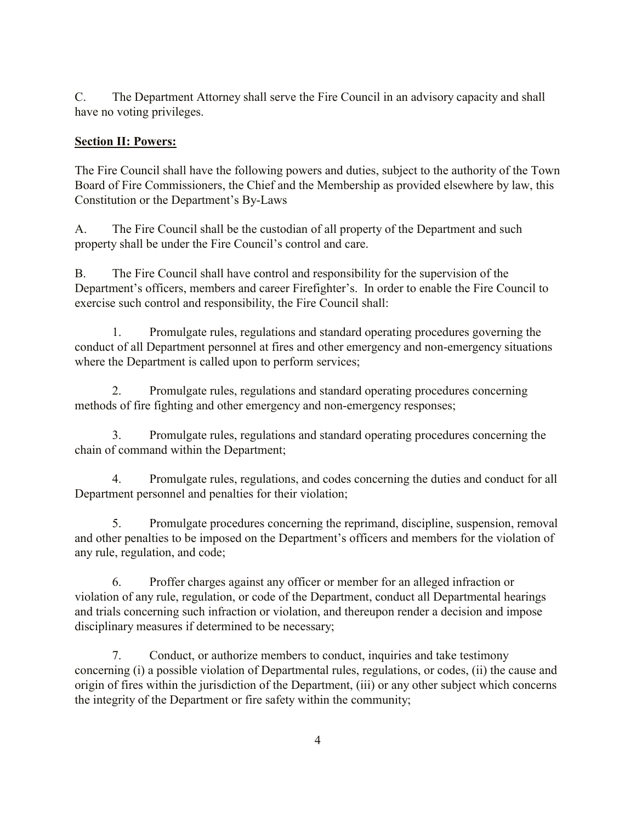C. The Department Attorney shall serve the Fire Council in an advisory capacity and shall have no voting privileges.

## **Section II: Powers:**

The Fire Council shall have the following powers and duties, subject to the authority of the Town Board of Fire Commissioners, the Chief and the Membership as provided elsewhere by law, this Constitution or the Department's By-Laws

A. The Fire Council shall be the custodian of all property of the Department and such property shall be under the Fire Council's control and care.

B. The Fire Council shall have control and responsibility for the supervision of the Department's officers, members and career Firefighter's. In order to enable the Fire Council to exercise such control and responsibility, the Fire Council shall:

1. Promulgate rules, regulations and standard operating procedures governing the conduct of all Department personnel at fires and other emergency and non-emergency situations where the Department is called upon to perform services;

2. Promulgate rules, regulations and standard operating procedures concerning methods of fire fighting and other emergency and non-emergency responses;

3. Promulgate rules, regulations and standard operating procedures concerning the chain of command within the Department;

4. Promulgate rules, regulations, and codes concerning the duties and conduct for all Department personnel and penalties for their violation;

5. Promulgate procedures concerning the reprimand, discipline, suspension, removal and other penalties to be imposed on the Department's officers and members for the violation of any rule, regulation, and code;

6. Proffer charges against any officer or member for an alleged infraction or violation of any rule, regulation, or code of the Department, conduct all Departmental hearings and trials concerning such infraction or violation, and thereupon render a decision and impose disciplinary measures if determined to be necessary;

7. Conduct, or authorize members to conduct, inquiries and take testimony concerning (i) a possible violation of Departmental rules, regulations, or codes, (ii) the cause and origin of fires within the jurisdiction of the Department, (iii) or any other subject which concerns the integrity of the Department or fire safety within the community;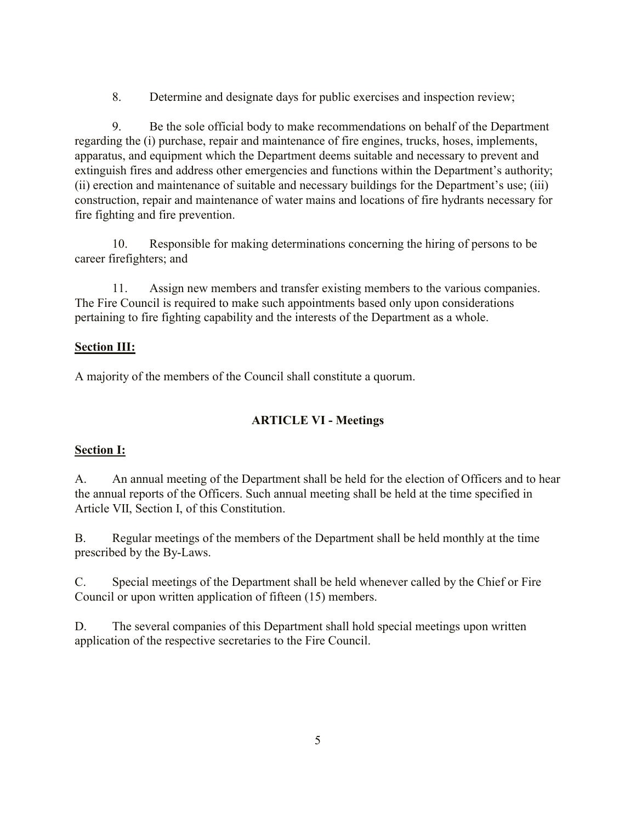8. Determine and designate days for public exercises and inspection review;

9. Be the sole official body to make recommendations on behalf of the Department regarding the (i) purchase, repair and maintenance of fire engines, trucks, hoses, implements, apparatus, and equipment which the Department deems suitable and necessary to prevent and extinguish fires and address other emergencies and functions within the Department's authority; (ii) erection and maintenance of suitable and necessary buildings for the Department's use; (iii) construction, repair and maintenance of water mains and locations of fire hydrants necessary for fire fighting and fire prevention.

10. Responsible for making determinations concerning the hiring of persons to be career firefighters; and

11. Assign new members and transfer existing members to the various companies. The Fire Council is required to make such appointments based only upon considerations pertaining to fire fighting capability and the interests of the Department as a whole.

## **Section III:**

A majority of the members of the Council shall constitute a quorum.

## **ARTICLE VI - Meetings**

## **Section I:**

A. An annual meeting of the Department shall be held for the election of Officers and to hear the annual reports of the Officers. Such annual meeting shall be held at the time specified in Article VII, Section I, of this Constitution.

B. Regular meetings of the members of the Department shall be held monthly at the time prescribed by the By-Laws.

C. Special meetings of the Department shall be held whenever called by the Chief or Fire Council or upon written application of fifteen (15) members.

D. The several companies of this Department shall hold special meetings upon written application of the respective secretaries to the Fire Council.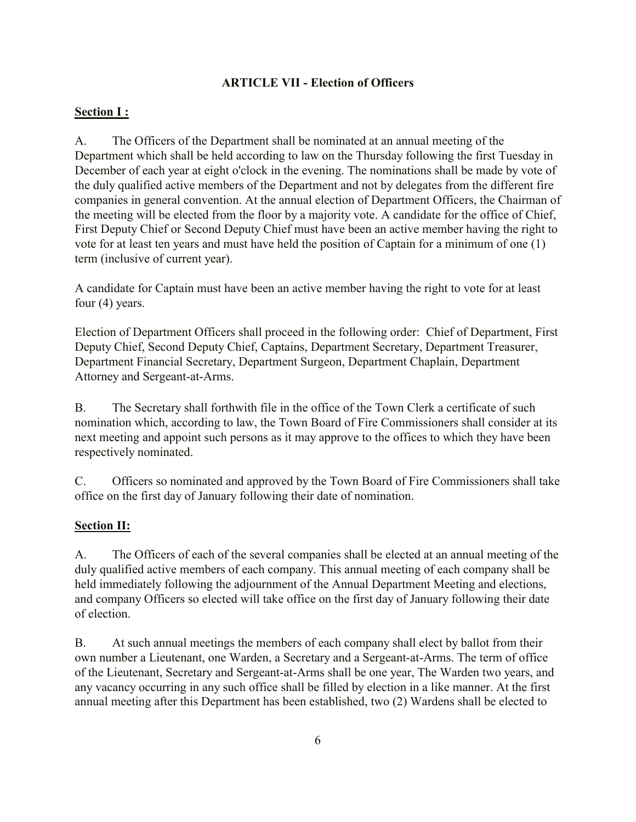## **ARTICLE VII - Election of Officers**

## **Section I :**

A. The Officers of the Department shall be nominated at an annual meeting of the Department which shall be held according to law on the Thursday following the first Tuesday in December of each year at eight o'clock in the evening. The nominations shall be made by vote of the duly qualified active members of the Department and not by delegates from the different fire companies in general convention. At the annual election of Department Officers, the Chairman of the meeting will be elected from the floor by a majority vote. A candidate for the office of Chief, First Deputy Chief or Second Deputy Chief must have been an active member having the right to vote for at least ten years and must have held the position of Captain for a minimum of one (1) term (inclusive of current year).

A candidate for Captain must have been an active member having the right to vote for at least four (4) years.

Election of Department Officers shall proceed in the following order: Chief of Department, First Deputy Chief, Second Deputy Chief, Captains, Department Secretary, Department Treasurer, Department Financial Secretary, Department Surgeon, Department Chaplain, Department Attorney and Sergeant-at-Arms.

B. The Secretary shall forthwith file in the office of the Town Clerk a certificate of such nomination which, according to law, the Town Board of Fire Commissioners shall consider at its next meeting and appoint such persons as it may approve to the offices to which they have been respectively nominated.

C. Officers so nominated and approved by the Town Board of Fire Commissioners shall take office on the first day of January following their date of nomination.

#### **Section II:**

A. The Officers of each of the several companies shall be elected at an annual meeting of the duly qualified active members of each company. This annual meeting of each company shall be held immediately following the adjournment of the Annual Department Meeting and elections, and company Officers so elected will take office on the first day of January following their date of election.

B. At such annual meetings the members of each company shall elect by ballot from their own number a Lieutenant, one Warden, a Secretary and a Sergeant-at-Arms. The term of office of the Lieutenant, Secretary and Sergeant-at-Arms shall be one year, The Warden two years, and any vacancy occurring in any such office shall be filled by election in a like manner. At the first annual meeting after this Department has been established, two (2) Wardens shall be elected to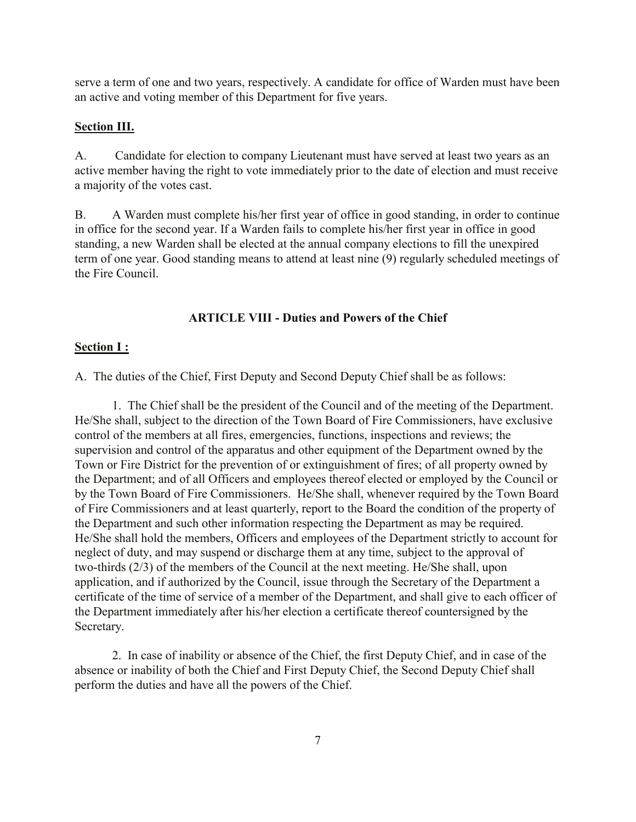serve a term of one and two years, respectively. A candidate for office of Warden must have been an active and voting member of this Department for five years.

#### **Section III.**

A. Candidate for election to company Lieutenant must have served at least two years as an active member having the right to vote immediately prior to the date of election and must receive a majority of the votes cast.

B. A Warden must complete his/her first year of office in good standing, in order to continue in office for the second year. If a Warden fails to complete his/her first year in office in good standing, a new Warden shall be elected at the annual company elections to fill the unexpired term of one year. Good standing means to attend at least nine (9) regularly scheduled meetings of the Fire Council.

#### **ARTICLE VIII - Duties and Powers of the Chief**

#### **Section I :**

A. The duties of the Chief, First Deputy and Second Deputy Chief shall be as follows:

1. The Chief shall be the president of the Council and of the meeting of the Department. He/She shall, subject to the direction of the Town Board of Fire Commissioners, have exclusive control of the members at all fires, emergencies, functions, inspections and reviews; the supervision and control of the apparatus and other equipment of the Department owned by the Town or Fire District for the prevention of or extinguishment of fires; of all property owned by the Department; and of all Officers and employees thereof elected or employed by the Council or by the Town Board of Fire Commissioners. He/She shall, whenever required by the Town Board of Fire Commissioners and at least quarterly, report to the Board the condition of the property of the Department and such other information respecting the Department as may be required. He/She shall hold the members, Officers and employees of the Department strictly to account for neglect of duty, and may suspend or discharge them at any time, subject to the approval of two-thirds (2/3) of the members of the Council at the next meeting. He/She shall, upon application, and if authorized by the Council, issue through the Secretary of the Department a certificate of the time of service of a member of the Department, and shall give to each officer of the Department immediately after his/her election a certificate thereof countersigned by the Secretary.

2. In case of inability or absence of the Chief, the first Deputy Chief, and in case of the absence or inability of both the Chief and First Deputy Chief, the Second Deputy Chief shall perform the duties and have all the powers of the Chief.